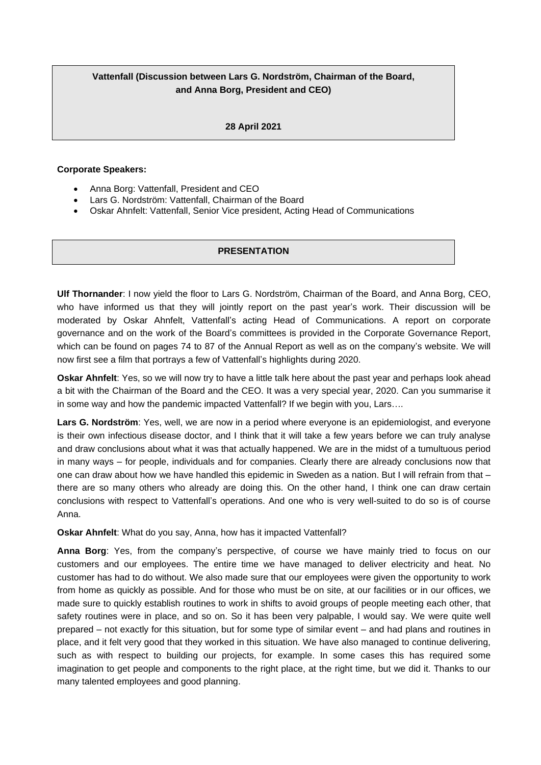## **Vattenfall (Discussion between Lars G. Nordström, Chairman of the Board, and Anna Borg, President and CEO)**

## **28 April 2021**

## **Corporate Speakers:**

- Anna Borg: Vattenfall, President and CEO
- Lars G. Nordström: Vattenfall, Chairman of the Board
- Oskar Ahnfelt: Vattenfall, Senior Vice president, Acting Head of Communications

## **PRESENTATION**

**Ulf Thornander**: I now yield the floor to Lars G. Nordström, Chairman of the Board, and Anna Borg, CEO, who have informed us that they will jointly report on the past year's work. Their discussion will be moderated by Oskar Ahnfelt, Vattenfall's acting Head of Communications. A report on corporate governance and on the work of the Board's committees is provided in the Corporate Governance Report, which can be found on pages 74 to 87 of the Annual Report as well as on the company's website. We will now first see a film that portrays a few of Vattenfall's highlights during 2020.

**Oskar Ahnfelt**: Yes, so we will now try to have a little talk here about the past year and perhaps look ahead a bit with the Chairman of the Board and the CEO. It was a very special year, 2020. Can you summarise it in some way and how the pandemic impacted Vattenfall? If we begin with you, Lars….

**Lars G. Nordström**: Yes, well, we are now in a period where everyone is an epidemiologist, and everyone is their own infectious disease doctor, and I think that it will take a few years before we can truly analyse and draw conclusions about what it was that actually happened. We are in the midst of a tumultuous period in many ways – for people, individuals and for companies. Clearly there are already conclusions now that one can draw about how we have handled this epidemic in Sweden as a nation. But I will refrain from that – there are so many others who already are doing this. On the other hand, I think one can draw certain conclusions with respect to Vattenfall's operations. And one who is very well-suited to do so is of course Anna.

**Oskar Ahnfelt**: What do you say, Anna, how has it impacted Vattenfall?

**Anna Borg**: Yes, from the company's perspective, of course we have mainly tried to focus on our customers and our employees. The entire time we have managed to deliver electricity and heat. No customer has had to do without. We also made sure that our employees were given the opportunity to work from home as quickly as possible. And for those who must be on site, at our facilities or in our offices, we made sure to quickly establish routines to work in shifts to avoid groups of people meeting each other, that safety routines were in place, and so on. So it has been very palpable, I would say. We were quite well prepared – not exactly for this situation, but for some type of similar event – and had plans and routines in place, and it felt very good that they worked in this situation. We have also managed to continue delivering, such as with respect to building our projects, for example. In some cases this has required some imagination to get people and components to the right place, at the right time, but we did it. Thanks to our many talented employees and good planning.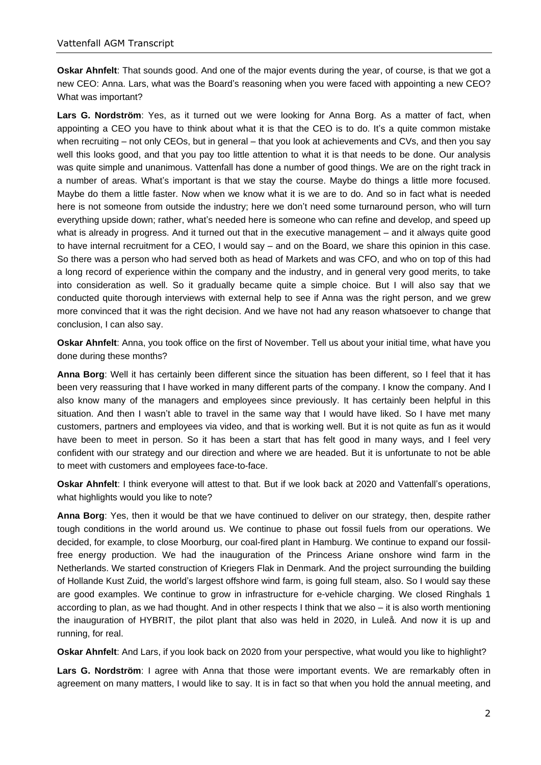**Oskar Ahnfelt**: That sounds good. And one of the major events during the year, of course, is that we got a new CEO: Anna. Lars, what was the Board's reasoning when you were faced with appointing a new CEO? What was important?

**Lars G. Nordström**: Yes, as it turned out we were looking for Anna Borg. As a matter of fact, when appointing a CEO you have to think about what it is that the CEO is to do. It's a quite common mistake when recruiting – not only CEOs, but in general – that you look at achievements and CVs, and then you say well this looks good, and that you pay too little attention to what it is that needs to be done. Our analysis was quite simple and unanimous. Vattenfall has done a number of good things. We are on the right track in a number of areas. What's important is that we stay the course. Maybe do things a little more focused. Maybe do them a little faster. Now when we know what it is we are to do. And so in fact what is needed here is not someone from outside the industry; here we don't need some turnaround person, who will turn everything upside down; rather, what's needed here is someone who can refine and develop, and speed up what is already in progress. And it turned out that in the executive management – and it always quite good to have internal recruitment for a CEO, I would say – and on the Board, we share this opinion in this case. So there was a person who had served both as head of Markets and was CFO, and who on top of this had a long record of experience within the company and the industry, and in general very good merits, to take into consideration as well. So it gradually became quite a simple choice. But I will also say that we conducted quite thorough interviews with external help to see if Anna was the right person, and we grew more convinced that it was the right decision. And we have not had any reason whatsoever to change that conclusion, I can also say.

**Oskar Ahnfelt**: Anna, you took office on the first of November. Tell us about your initial time, what have you done during these months?

**Anna Borg**: Well it has certainly been different since the situation has been different, so I feel that it has been very reassuring that I have worked in many different parts of the company. I know the company. And I also know many of the managers and employees since previously. It has certainly been helpful in this situation. And then I wasn't able to travel in the same way that I would have liked. So I have met many customers, partners and employees via video, and that is working well. But it is not quite as fun as it would have been to meet in person. So it has been a start that has felt good in many ways, and I feel very confident with our strategy and our direction and where we are headed. But it is unfortunate to not be able to meet with customers and employees face-to-face.

**Oskar Ahnfelt**: I think everyone will attest to that. But if we look back at 2020 and Vattenfall's operations, what highlights would you like to note?

**Anna Borg**: Yes, then it would be that we have continued to deliver on our strategy, then, despite rather tough conditions in the world around us. We continue to phase out fossil fuels from our operations. We decided, for example, to close Moorburg, our coal-fired plant in Hamburg. We continue to expand our fossilfree energy production. We had the inauguration of the Princess Ariane onshore wind farm in the Netherlands. We started construction of Kriegers Flak in Denmark. And the project surrounding the building of Hollande Kust Zuid, the world's largest offshore wind farm, is going full steam, also. So I would say these are good examples. We continue to grow in infrastructure for e-vehicle charging. We closed Ringhals 1 according to plan, as we had thought. And in other respects I think that we also – it is also worth mentioning the inauguration of HYBRIT, the pilot plant that also was held in 2020, in Luleå. And now it is up and running, for real.

**Oskar Ahnfelt**: And Lars, if you look back on 2020 from your perspective, what would you like to highlight?

**Lars G. Nordström**: I agree with Anna that those were important events. We are remarkably often in agreement on many matters, I would like to say. It is in fact so that when you hold the annual meeting, and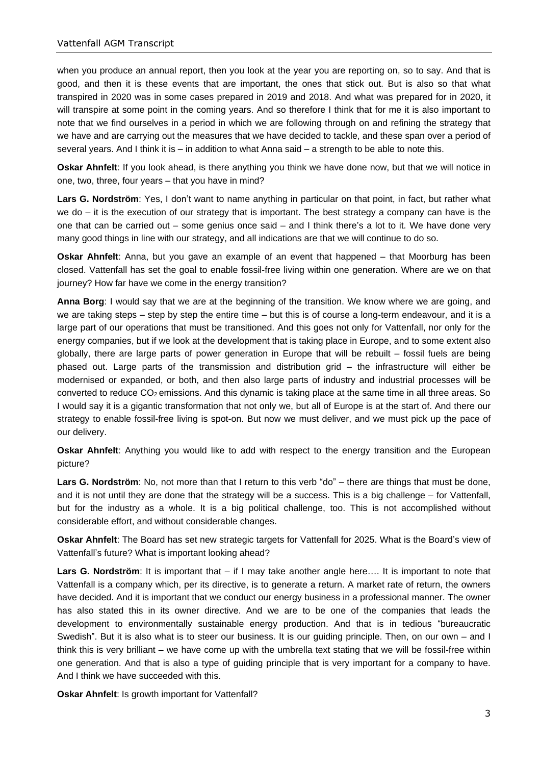when you produce an annual report, then you look at the year you are reporting on, so to say. And that is good, and then it is these events that are important, the ones that stick out. But is also so that what transpired in 2020 was in some cases prepared in 2019 and 2018. And what was prepared for in 2020, it will transpire at some point in the coming years. And so therefore I think that for me it is also important to note that we find ourselves in a period in which we are following through on and refining the strategy that we have and are carrying out the measures that we have decided to tackle, and these span over a period of several years. And I think it is  $-$  in addition to what Anna said  $-$  a strength to be able to note this.

**Oskar Ahnfelt**: If you look ahead, is there anything you think we have done now, but that we will notice in one, two, three, four years – that you have in mind?

**Lars G. Nordström**: Yes, I don't want to name anything in particular on that point, in fact, but rather what we do – it is the execution of our strategy that is important. The best strategy a company can have is the one that can be carried out – some genius once said – and I think there's a lot to it. We have done very many good things in line with our strategy, and all indications are that we will continue to do so.

**Oskar Ahnfelt**: Anna, but you gave an example of an event that happened – that Moorburg has been closed. Vattenfall has set the goal to enable fossil-free living within one generation. Where are we on that journey? How far have we come in the energy transition?

**Anna Borg**: I would say that we are at the beginning of the transition. We know where we are going, and we are taking steps – step by step the entire time – but this is of course a long-term endeavour, and it is a large part of our operations that must be transitioned. And this goes not only for Vattenfall, nor only for the energy companies, but if we look at the development that is taking place in Europe, and to some extent also globally, there are large parts of power generation in Europe that will be rebuilt – fossil fuels are being phased out. Large parts of the transmission and distribution grid – the infrastructure will either be modernised or expanded, or both, and then also large parts of industry and industrial processes will be converted to reduce  $CO<sub>2</sub>$  emissions. And this dynamic is taking place at the same time in all three areas. So I would say it is a gigantic transformation that not only we, but all of Europe is at the start of. And there our strategy to enable fossil-free living is spot-on. But now we must deliver, and we must pick up the pace of our delivery.

**Oskar Ahnfelt**: Anything you would like to add with respect to the energy transition and the European picture?

Lars G. Nordström: No, not more than that I return to this verb "do" – there are things that must be done, and it is not until they are done that the strategy will be a success. This is a big challenge – for Vattenfall, but for the industry as a whole. It is a big political challenge, too. This is not accomplished without considerable effort, and without considerable changes.

**Oskar Ahnfelt**: The Board has set new strategic targets for Vattenfall for 2025. What is the Board's view of Vattenfall's future? What is important looking ahead?

**Lars G. Nordström**: It is important that – if I may take another angle here…. It is important to note that Vattenfall is a company which, per its directive, is to generate a return. A market rate of return, the owners have decided. And it is important that we conduct our energy business in a professional manner. The owner has also stated this in its owner directive. And we are to be one of the companies that leads the development to environmentally sustainable energy production. And that is in tedious "bureaucratic Swedish". But it is also what is to steer our business. It is our guiding principle. Then, on our own – and I think this is very brilliant – we have come up with the umbrella text stating that we will be fossil-free within one generation. And that is also a type of guiding principle that is very important for a company to have. And I think we have succeeded with this.

**Oskar Ahnfelt**: Is growth important for Vattenfall?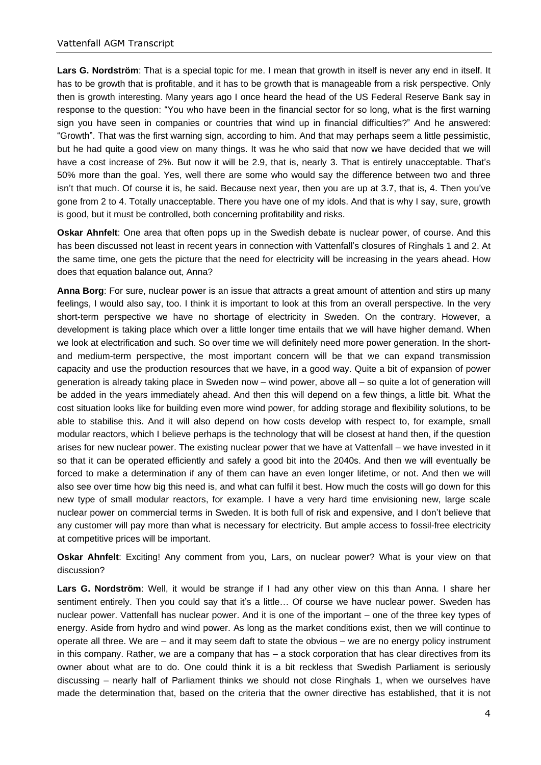**Lars G. Nordström**: That is a special topic for me. I mean that growth in itself is never any end in itself. It has to be growth that is profitable, and it has to be growth that is manageable from a risk perspective. Only then is growth interesting. Many years ago I once heard the head of the US Federal Reserve Bank say in response to the question: "You who have been in the financial sector for so long, what is the first warning sign you have seen in companies or countries that wind up in financial difficulties?" And he answered: "Growth". That was the first warning sign, according to him. And that may perhaps seem a little pessimistic, but he had quite a good view on many things. It was he who said that now we have decided that we will have a cost increase of 2%. But now it will be 2.9, that is, nearly 3. That is entirely unacceptable. That's 50% more than the goal. Yes, well there are some who would say the difference between two and three isn't that much. Of course it is, he said. Because next year, then you are up at 3.7, that is, 4. Then you've gone from 2 to 4. Totally unacceptable. There you have one of my idols. And that is why I say, sure, growth is good, but it must be controlled, both concerning profitability and risks.

**Oskar Ahnfelt**: One area that often pops up in the Swedish debate is nuclear power, of course. And this has been discussed not least in recent years in connection with Vattenfall's closures of Ringhals 1 and 2. At the same time, one gets the picture that the need for electricity will be increasing in the years ahead. How does that equation balance out, Anna?

**Anna Borg**: For sure, nuclear power is an issue that attracts a great amount of attention and stirs up many feelings, I would also say, too. I think it is important to look at this from an overall perspective. In the very short-term perspective we have no shortage of electricity in Sweden. On the contrary. However, a development is taking place which over a little longer time entails that we will have higher demand. When we look at electrification and such. So over time we will definitely need more power generation. In the shortand medium-term perspective, the most important concern will be that we can expand transmission capacity and use the production resources that we have, in a good way. Quite a bit of expansion of power generation is already taking place in Sweden now – wind power, above all – so quite a lot of generation will be added in the years immediately ahead. And then this will depend on a few things, a little bit. What the cost situation looks like for building even more wind power, for adding storage and flexibility solutions, to be able to stabilise this. And it will also depend on how costs develop with respect to, for example, small modular reactors, which I believe perhaps is the technology that will be closest at hand then, if the question arises for new nuclear power. The existing nuclear power that we have at Vattenfall – we have invested in it so that it can be operated efficiently and safely a good bit into the 2040s. And then we will eventually be forced to make a determination if any of them can have an even longer lifetime, or not. And then we will also see over time how big this need is, and what can fulfil it best. How much the costs will go down for this new type of small modular reactors, for example. I have a very hard time envisioning new, large scale nuclear power on commercial terms in Sweden. It is both full of risk and expensive, and I don't believe that any customer will pay more than what is necessary for electricity. But ample access to fossil-free electricity at competitive prices will be important.

**Oskar Ahnfelt**: Exciting! Any comment from you, Lars, on nuclear power? What is your view on that discussion?

**Lars G. Nordström**: Well, it would be strange if I had any other view on this than Anna. I share her sentiment entirely. Then you could say that it's a little… Of course we have nuclear power. Sweden has nuclear power. Vattenfall has nuclear power. And it is one of the important – one of the three key types of energy. Aside from hydro and wind power. As long as the market conditions exist, then we will continue to operate all three. We are – and it may seem daft to state the obvious – we are no energy policy instrument in this company. Rather, we are a company that has – a stock corporation that has clear directives from its owner about what are to do. One could think it is a bit reckless that Swedish Parliament is seriously discussing – nearly half of Parliament thinks we should not close Ringhals 1, when we ourselves have made the determination that, based on the criteria that the owner directive has established, that it is not